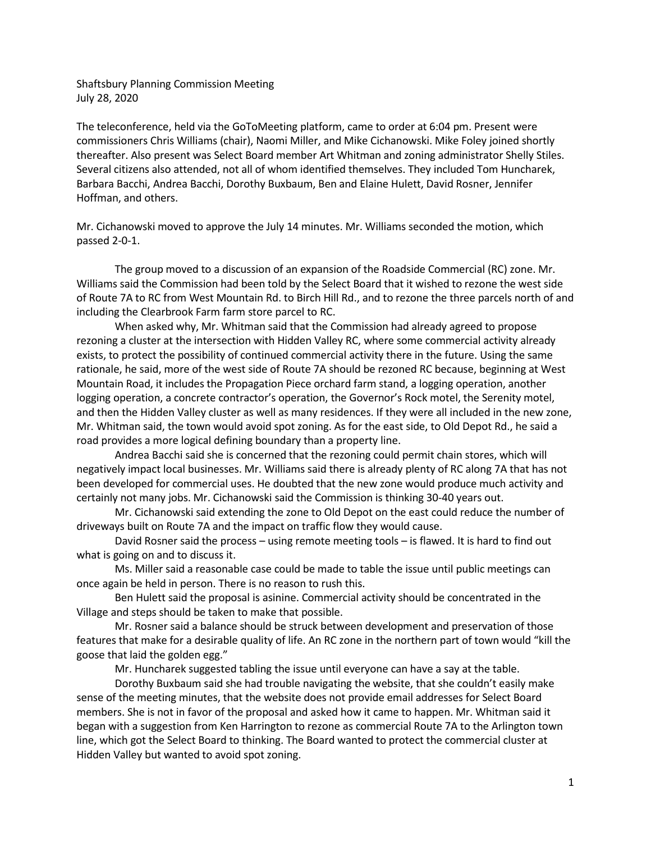Shaftsbury Planning Commission Meeting July 28, 2020

The teleconference, held via the GoToMeeting platform, came to order at 6:04 pm. Present were commissioners Chris Williams (chair), Naomi Miller, and Mike Cichanowski. Mike Foley joined shortly thereafter. Also present was Select Board member Art Whitman and zoning administrator Shelly Stiles. Several citizens also attended, not all of whom identified themselves. They included Tom Huncharek, Barbara Bacchi, Andrea Bacchi, Dorothy Buxbaum, Ben and Elaine Hulett, David Rosner, Jennifer Hoffman, and others.

Mr. Cichanowski moved to approve the July 14 minutes. Mr. Williams seconded the motion, which passed 2-0-1.

The group moved to a discussion of an expansion of the Roadside Commercial (RC) zone. Mr. Williams said the Commission had been told by the Select Board that it wished to rezone the west side of Route 7A to RC from West Mountain Rd. to Birch Hill Rd., and to rezone the three parcels north of and including the Clearbrook Farm farm store parcel to RC.

When asked why, Mr. Whitman said that the Commission had already agreed to propose rezoning a cluster at the intersection with Hidden Valley RC, where some commercial activity already exists, to protect the possibility of continued commercial activity there in the future. Using the same rationale, he said, more of the west side of Route 7A should be rezoned RC because, beginning at West Mountain Road, it includes the Propagation Piece orchard farm stand, a logging operation, another logging operation, a concrete contractor's operation, the Governor's Rock motel, the Serenity motel, and then the Hidden Valley cluster as well as many residences. If they were all included in the new zone, Mr. Whitman said, the town would avoid spot zoning. As for the east side, to Old Depot Rd., he said a road provides a more logical defining boundary than a property line.

Andrea Bacchi said she is concerned that the rezoning could permit chain stores, which will negatively impact local businesses. Mr. Williams said there is already plenty of RC along 7A that has not been developed for commercial uses. He doubted that the new zone would produce much activity and certainly not many jobs. Mr. Cichanowski said the Commission is thinking 30-40 years out.

Mr. Cichanowski said extending the zone to Old Depot on the east could reduce the number of driveways built on Route 7A and the impact on traffic flow they would cause.

David Rosner said the process – using remote meeting tools – is flawed. It is hard to find out what is going on and to discuss it.

Ms. Miller said a reasonable case could be made to table the issue until public meetings can once again be held in person. There is no reason to rush this.

Ben Hulett said the proposal is asinine. Commercial activity should be concentrated in the Village and steps should be taken to make that possible.

Mr. Rosner said a balance should be struck between development and preservation of those features that make for a desirable quality of life. An RC zone in the northern part of town would "kill the goose that laid the golden egg."

Mr. Huncharek suggested tabling the issue until everyone can have a say at the table.

Dorothy Buxbaum said she had trouble navigating the website, that she couldn't easily make sense of the meeting minutes, that the website does not provide email addresses for Select Board members. She is not in favor of the proposal and asked how it came to happen. Mr. Whitman said it began with a suggestion from Ken Harrington to rezone as commercial Route 7A to the Arlington town line, which got the Select Board to thinking. The Board wanted to protect the commercial cluster at Hidden Valley but wanted to avoid spot zoning.